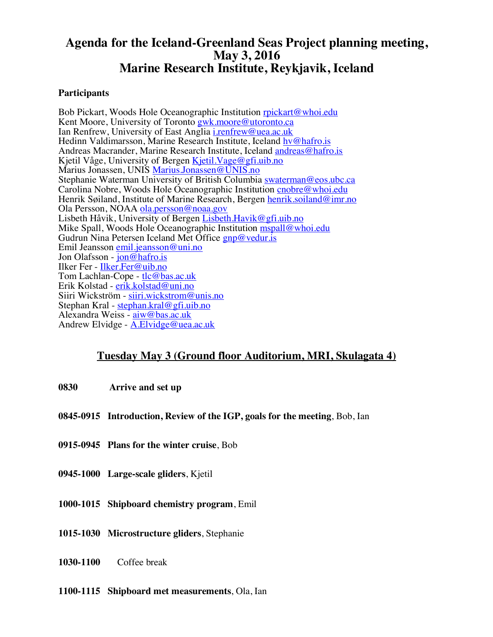## **Agenda for the Iceland-Greenland Seas Project planning meeting, May 3, 2016 Marine Research Institute, Reykjavik, Iceland**

## **Participants**

Bob Pickart, Woods Hole Oceanographic Institution rpickart@whoi.edu Kent Moore, University of Toronto gwk.moore@utoronto.ca Ian Renfrew, University of East Anglia i.renfrew@uea.ac.uk Hedinn Valdimarsson, Marine Research Institute, Iceland hv@hafro.is Andreas Macrander, Marine Research Institute, Iceland andreas@hafro.is Kjetil Våge, University of Bergen Kjetil.Vage@gfi.uib.no Marius Jonassen, UNIS Marius.Jonassen@UNIS.no Stephanie Waterman University of British Columbia swaterman@eos.ubc.ca Carolina Nobre, Woods Hole Oceanographic Institution cnobre@whoi.edu Henrik Søiland, Institute of Marine Research, Bergen henrik.soiland@imr.no Ola Persson, NOAA ola.persson@noaa.gov Lisbeth Håvik, University of Bergen Lisbeth.Havik@gfi.uib.no Mike Spall, Woods Hole Oceanographic Institution mspall@whoi.edu Gudrun Nina Petersen Iceland Met Office *gnp@vedur.is* Emil Jeansson emil.jeansson@uni.no Jon Olafsson - jon@hafro.is Ilker Fer - Ilker.Fer@uib.no Tom Lachlan-Cope - tlc@bas.ac.uk Erik Kolstad - erik.kolstad@uni.no Siiri Wickström - siiri.wickstrom@unis.no Stephan Kral - stephan.kral@gfi.uib.no Alexandra Weiss - aiw@bas.ac.uk Andrew Elvidge - A.Elvidge@uea.ac.uk

## **Tuesday May 3 (Ground floor Auditorium, MRI, Skulagata 4)**

- **0830 Arrive and set up**
- **0845-0915 Introduction, Review of the IGP, goals for the meeting**, Bob, Ian
- **0915-0945 Plans for the winter cruise**, Bob
- **0945-1000 Large-scale gliders**, Kjetil
- **1000-1015 Shipboard chemistry program**, Emil
- **1015-1030 Microstructure gliders**, Stephanie
- **1030-1100** Coffee break
- **1100-1115 Shipboard met measurements**, Ola, Ian